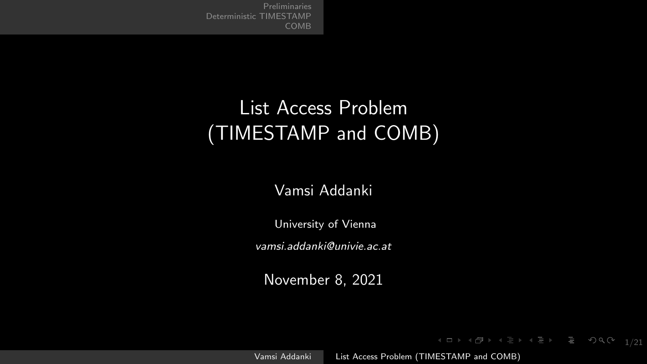# <span id="page-0-0"></span>List Access Problem (TIMESTAMP and COMB)

#### Vamsi Addanki

University of Vienna

vamsi.addanki@univie.ac.at

November 8, 2021

Vamsi Addanki [List Access Problem \(TIMESTAMP and COMB\)](#page-20-0)

1 그 1 4 년 ▶ 1 분 ▶ 1 분 ▶ 그 분 ▶ 9 일 수 있다 수 있다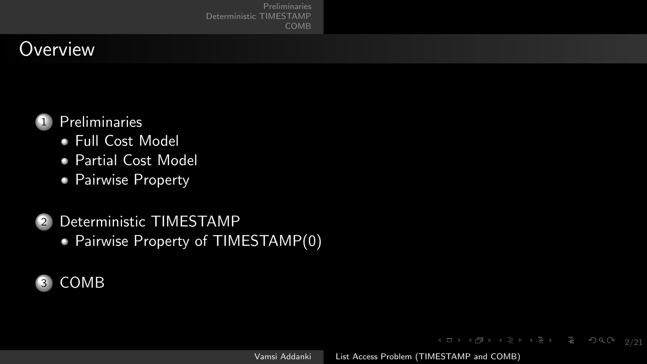[Preliminaries](#page-2-0) [COMB](#page-15-0)

## **Overview**



- [Full Cost Model](#page-2-0)
- [Partial Cost Model](#page-3-0)
- [Pairwise Property](#page-4-0)
- [Deterministic TIMESTAMP](#page-11-0)
	- [Pairwise Property of TIMESTAMP\(0\)](#page-12-0)



Vamsi Addanki [List Access Problem \(TIMESTAMP and COMB\)](#page-0-0)

 $\left\{ \begin{array}{ccc} 1 & 0 & 0 \\ 0 & 1 & 0 \end{array} \right. \rightarrow \left\{ \begin{array}{ccc} \frac{1}{2} & 0 & 0 \\ 0 & 0 & 0 \end{array} \right.$ 

 $\mathcal{O} \cap \mathcal{O}$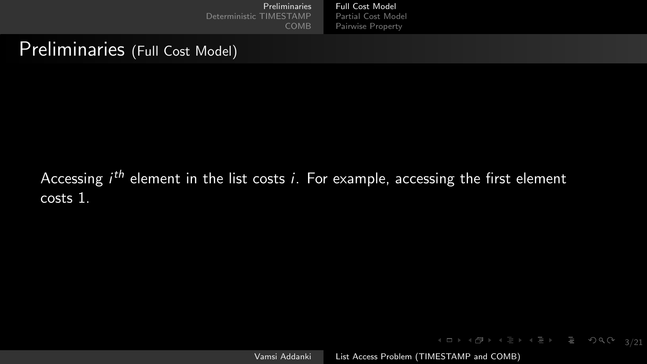## <span id="page-2-0"></span>Preliminaries (Full Cost Model)

Accessing  $i^{th}$  element in the list costs  $i$ . For example, accessing the first element costs 1.

Vamsi Addanki [List Access Problem \(TIMESTAMP and COMB\)](#page-0-0)

3/21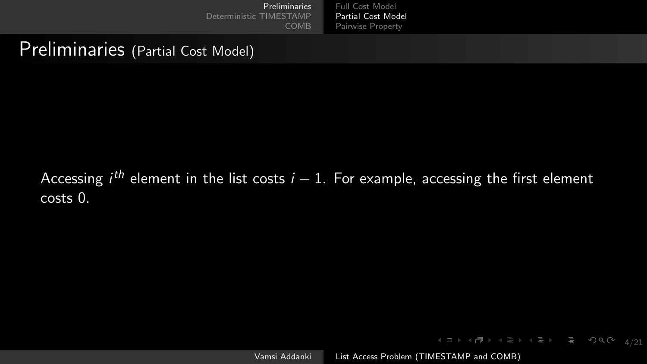#### <span id="page-3-0"></span>Preliminaries (Partial Cost Model)

#### Accessing  $i^{th}$  element in the list costs  $i-1$ . For example, accessing the first element costs 0.

Vamsi Addanki [List Access Problem \(TIMESTAMP and COMB\)](#page-0-0)

4 ロ → 4 레 → 4 로 → 4 로 → 그로 → 9 Q ( + 4/21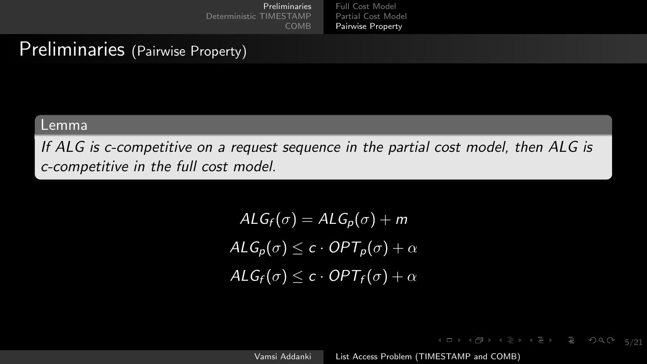## <span id="page-4-0"></span>Preliminaries (Pairwise Property)

#### Lemma

If ALG is c-competitive on a request sequence in the partial cost model, then ALG is c-competitive in the full cost model.

> $ALG_f(\sigma) = ALG_p(\sigma) + m$  $ALG_{p}(\overline{\sigma}) \leq c \cdot OPT_{p}(\sigma) + \alpha$  $ALG_f(\sigma) \leq c \cdot OPT_f(\sigma) + \alpha$

> > Vamsi Addanki [List Access Problem \(TIMESTAMP and COMB\)](#page-0-0)

(ロ) (何) (ミ) (ミ) Ξ のQ(^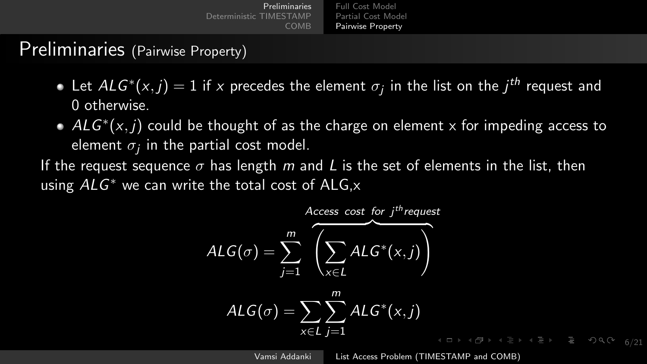| <b>Preliminaries</b>    | Full Cost Model    |
|-------------------------|--------------------|
| Deterministic TIMESTAMP | Partial Cost Model |
| COMB                    | Pairwise Property  |

#### Preliminaries (Pairwise Property)

- Let  $ALG^*(x,j) = 1$  if  $x$  precedes the element  $\sigma_j$  in the list on the  $j^{th}$  request and 0 otherwise.
- $ALG^*(x, j)$  could be thought of as the charge on element x for impeding access to element  $\sigma_j$  in the partial cost model.

If the request sequence  $\sigma$  has length m and L is the set of elements in the list, then using  $ALG^*$  we can write the total cost of  $ALG$ , $x$ 

$$
ALG(\sigma) = \sum_{j=1}^{m} \overbrace{\left(\sum_{x \in L} ALG^*(x, j)\right)}^{Access cost for jth request}
$$

$$
ALG(\sigma) = \sum_{x \in L} \sum_{j=1}^{m} ALG^{*}(x, j)
$$

Vamsi Addanki [List Access Problem \(TIMESTAMP and COMB\)](#page-0-0)

6/21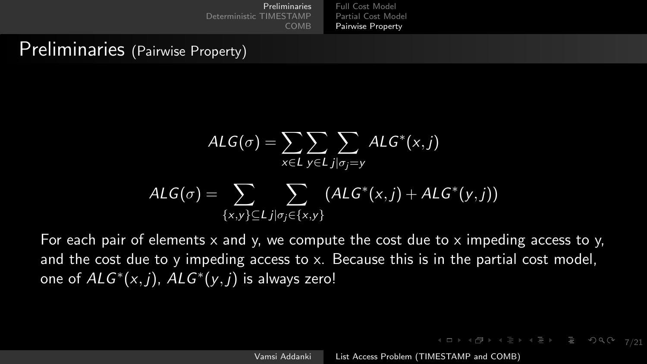## Preliminaries (Pairwise Property)

$$
\mathsf{ALG}(\sigma) = \sum_{x \in L} \sum_{y \in L} \sum_{j | \sigma_j = y} \mathsf{ALG}^*(x, j)
$$

$$
\mathsf{ALG}(\sigma) = \sum_{\{x, y\} \subseteq L} \sum_{j | \sigma_j \in \{x, y\}} (\mathsf{ALG}^*(x, j) + \mathsf{ALG}^*(y, j))
$$

For each pair of elements  $x$  and  $y$ , we compute the cost due to  $x$  impeding access to  $y$ , and the cost due to y impeding access to x. Because this is in the partial cost model, one of  $ALG^*(x, j)$ ,  $ALG^*(y, j)$  is always zero!

 $4\Box\rightarrow 4\overline{B}\rightarrow 4\Xi\rightarrow 4\Xi\rightarrow -\Xi\rightarrow 99\,O$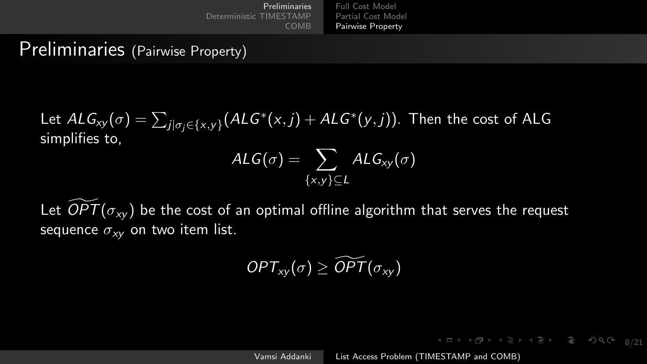## Preliminaries (Pairwise Property)

Let  $ALG_{xy}(\sigma) = \sum_{j | \sigma_j \in \{x,y\}} (ALG^*(x,j) + ALG^*(y,j))$ . Then the cost of ALG simplifies to,

$$
\mathsf{ALG}(\sigma) = \sum_{\{x,y\} \subseteq \mathsf{L}} \mathsf{ALG}_{\mathsf{xy}}(\sigma)
$$

Let  $\overline{OPT(\sigma_{xy})}$  be the cost of an optimal offline algorithm that serves the request sequence  $\sigma_{xy}$  on two item list.

$$
OPT_{xy}(\sigma) \geq \widetilde{OPT}(\sigma_{xy})
$$

Vamsi Addanki [List Access Problem \(TIMESTAMP and COMB\)](#page-0-0)

K ロ → K 리 → K 로 → K 로 → 트 → 9 Q (2 × 2/21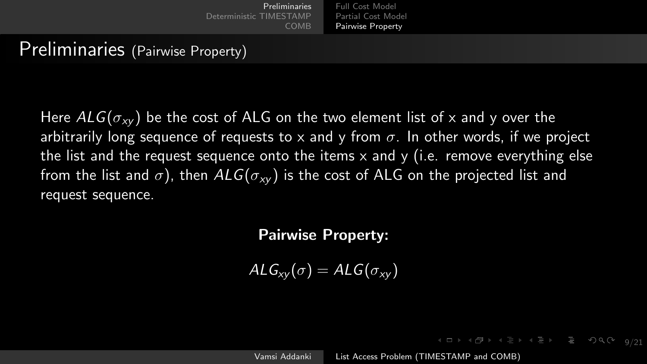## Preliminaries (Pairwise Property)

Here  $ALG(\sigma_{xy})$  be the cost of ALG on the two element list of x and y over the arbitrarily long sequence of requests to x and y from  $\sigma$ . In other words, if we project the list and the request sequence onto the items  $x$  and  $y$  (i.e. remove everything else from the list and  $\sigma$ ), then  $ALG(\sigma_{xy})$  is the cost of ALG on the projected list and request sequence.

#### Pairwise Property:

 $ALG_{xy}(\sigma) = ALG(\sigma_{xy})$ 

Vamsi Addanki [List Access Problem \(TIMESTAMP and COMB\)](#page-0-0)

 $\mathcal{A} \Box \rightarrow \mathcal{A} \Box \rightarrow \mathcal{A} \Xi \rightarrow \mathcal{A} \Xi \rightarrow \mathcal{A} \Xi \rightarrow \mathcal{A} \Box \mathcal{A} \rightarrow \mathcal{A}$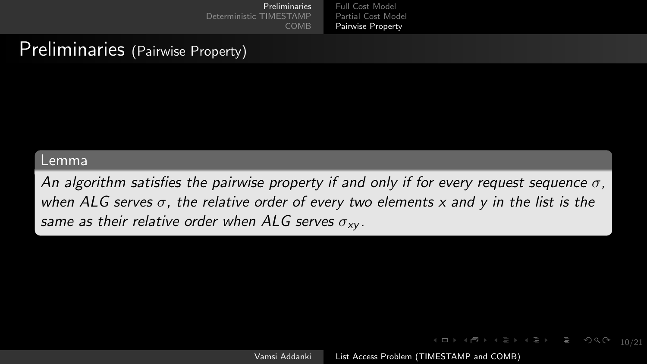### Preliminaries (Pairwise Property)

#### Lemma

An algorithm satisfies the pairwise property if and only if for every request sequence  $\sigma$ , when ALG serves  $\sigma$ , the relative order of every two elements x and y in the list is the same as their relative order when ALG serves  $\sigma_{xx}$ .

Vamsi Addanki [List Access Problem \(TIMESTAMP and COMB\)](#page-0-0)

 $\left\{ \begin{array}{ccc} 4 & \Box & \Box & \Box & \Box \end{array} \right.$ 

10/21

 $PQQ$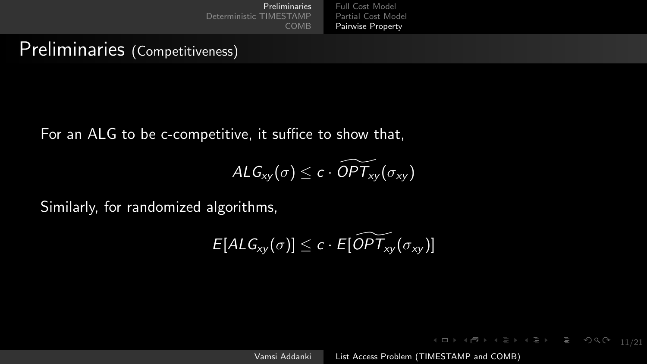#### Preliminaries (Competitiveness)

For an ALG to be c-competitive, it suffice to show that,

$$
\mathit{ALG}_{xy}(\sigma) \leq c \cdot \widetilde{\mathit{OPT}}_{xy}(\sigma_{xy})
$$

Similarly, for randomized algorithms,

$$
E[ALG_{xy}(\sigma)] \leq c \cdot E[\widetilde{OPT_{xy}}(\sigma_{xy})]
$$

Vamsi Addanki [List Access Problem \(TIMESTAMP and COMB\)](#page-0-0)

1日 1日 1日 1日 1日 1日 1日 2日 12日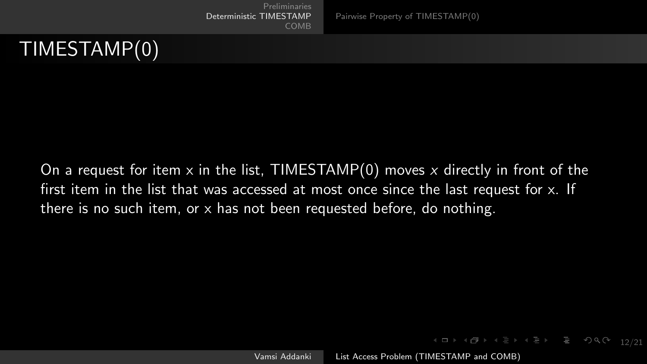

<span id="page-11-0"></span>

On a request for item x in the list, TIMESTAMP(0) moves x directly in front of the first item in the list that was accessed at most once since the last request for x. If there is no such item, or x has not been requested before, do nothing.

Vamsi Addanki [List Access Problem \(TIMESTAMP and COMB\)](#page-0-0)

12/21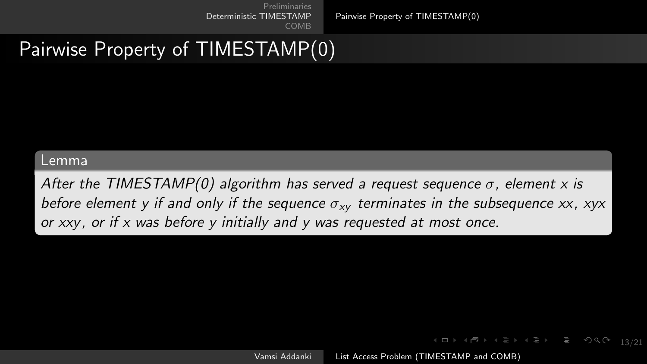[Pairwise Property of TIMESTAMP\(0\)](#page-12-0)

# <span id="page-12-0"></span>Pairwise Property of TIMESTAMP(0)

#### Lemma

After the TIMESTAMP(0) algorithm has served a request sequence  $\sigma$ , element x is before element y if and only if the sequence  $\sigma_{xy}$  terminates in the subsequence xx, xyx or xxy, or if x was before y initially and y was requested at most once.

Vamsi Addanki [List Access Problem \(TIMESTAMP and COMB\)](#page-0-0)

**◆ロ→ ◆伊→ ◆ミ→ ◆ミ→ ニヨー ◆) Q (>**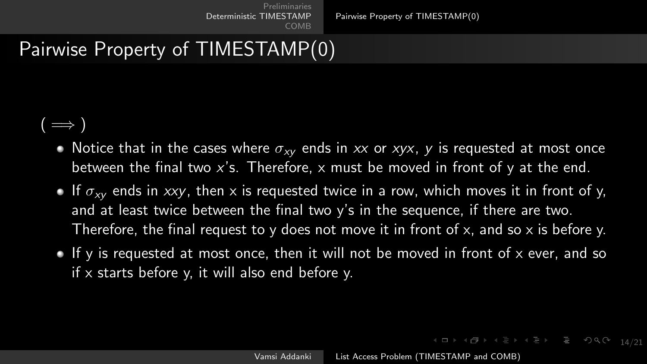[Pairwise Property of TIMESTAMP\(0\)](#page-12-0)

# Pairwise Property of TIMESTAMP(0)

#### $( \implies )$

- Notice that in the cases where  $\sigma_{xy}$  ends in xx or xyx, y is requested at most once between the final two x's. Therefore, x must be moved in front of y at the end.
- If  $\sigma_{xy}$  ends in xxy, then x is requested twice in a row, which moves it in front of y, and at least twice between the final two  $y'$ s in the sequence, if there are two. Therefore, the final request to y does not move it in front of x, and so x is before y.
- If y is requested at most once, then it will not be moved in front of  $x$  ever, and so if x starts before y, it will also end before y.

1日 1日 1日 1日 1日 1日 2日 2日 2日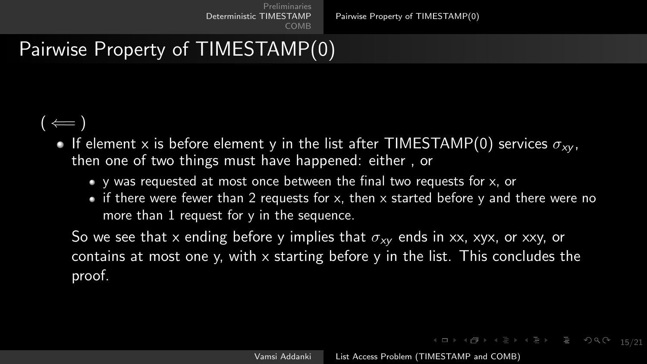[Pairwise Property of TIMESTAMP\(0\)](#page-12-0)

# Pairwise Property of TIMESTAMP(0)

#### $($   $\leftarrow$   $)$

- If element x is before element y in the list after TIMESTAMP(0) services  $\sigma_{xx}$ . then one of two things must have happened: either , or
	- $\bullet$  y was requested at most once between the final two requests for x, or
	- $\bullet$  if there were fewer than 2 requests for x, then x started before y and there were no more than  $\overline{1}$  request for y in the sequence.

So we see that x ending before y implies that  $\sigma_{xy}$  ends in xx, xyx, or xxy, or contains at most one y, with x starting before y in the list. This concludes the proof.

1日 1日 1日 1日 1日 1日 1日 200 15/21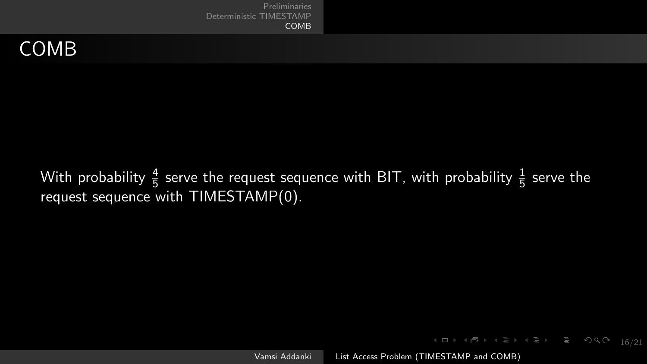<span id="page-15-0"></span>

With probability  $\frac{4}{5}$  serve the request sequence with BIT, with probability  $\frac{1}{5}$  serve the request sequence with TIMESTAMP(0).

Vamsi Addanki [List Access Problem \(TIMESTAMP and COMB\)](#page-0-0)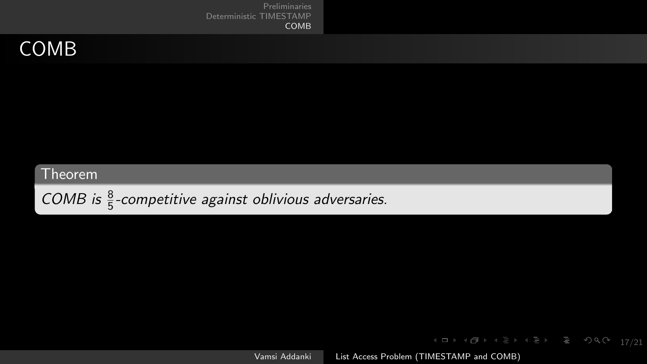## COMB

#### Theorem

COMB is  $\frac{8}{5}$ -competitive against oblivious adversaries.

Vamsi Addanki [List Access Problem \(TIMESTAMP and COMB\)](#page-0-0)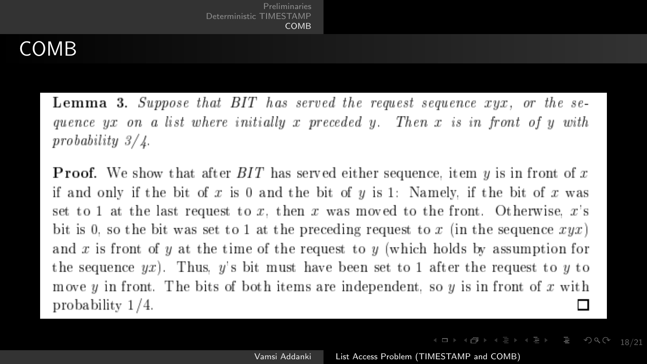## COMB

**Lemma 3.** Suppose that BIT has served the request sequence xyx, or the sequence  $yx$  on a list where initially x preceded y. Then x is in front of y with  $probability 3/\lambda$ .

**Proof.** We show that after  $BIT$  has served either sequence, item y is in front of x if and only if the bit of x is 0 and the bit of y is 1: Namely, if the bit of x was set to 1 at the last request to x, then x was moved to the front. Otherwise,  $x$ 's bit is 0, so the bit was set to 1 at the preceding request to x (in the sequence  $xyx$ ) and x is front of y at the time of the request to y (which holds by assumption for the sequence  $yx$ ). Thus, y's bit must have been set to 1 after the request to y to move y in front. The bits of both items are independent, so y is in front of x with probability  $1/4$ . П

4 ロ ▶ 4 @ ▶ 4 로 ▶ 4 로 ▶ \_ 로 \_ 9 Q Q + 18/21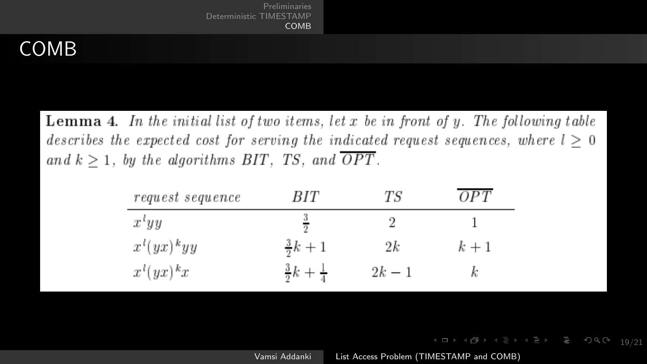## COMB

**Lemma 4.** In the initial list of two items, let x be in front of y. The following table describes the expected cost for serving the indicated request sequences, where  $l > 0$ and  $k \geq 1$ , by the algorithms BIT, TS, and  $\overline{OPT}$ .

| request sequence  | BIT                        | ТS     | OΡT   |  |
|-------------------|----------------------------|--------|-------|--|
| $x^{\iota}yy$     |                            |        |       |  |
| $x^{l}(yx)^{k}yy$ | $\frac{3}{2}k + 1$         | 2k     | $k+1$ |  |
| $x^{l}(yx)^{k}x$  | $rac{3}{2}k + \frac{1}{4}$ | $2k-1$ |       |  |

Vamsi Addanki [List Access Problem \(TIMESTAMP and COMB\)](#page-0-0)

 $\mathcal{A} \equiv \mathbb{P} \rightarrow \mathcal{A} \stackrel{\mathcal{B}}{\Longrightarrow} \mathcal{A} \stackrel{\mathcal{B}}{\Longrightarrow} \mathcal{A} \stackrel{\mathcal{B}}{\Longrightarrow} \mathcal{A}$ 

ミ つへぐ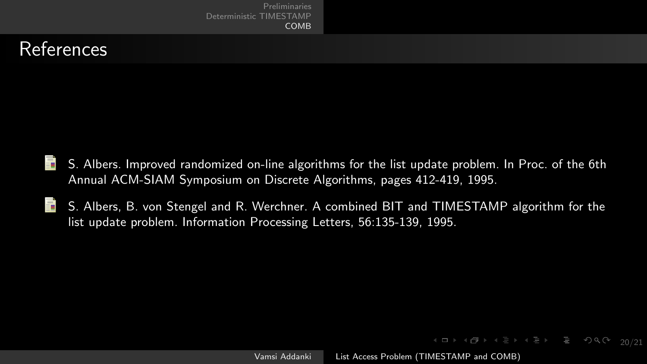[Preliminaries](#page-2-0) [COMB](#page-15-0)

## References

- H S. Albers. Improved randomized on-line algorithms for the list update problem. In Proc. of the 6th Annual ACM-SIAM Symposium on Discrete Algorithms, pages 412-419, 1995.
- 畐 S. Albers, B. von Stengel and R. Werchner. A combined BIT and TIMESTAMP algorithm for the list update problem. Information Processing Letters, 56:135-139, 1995.

20/21